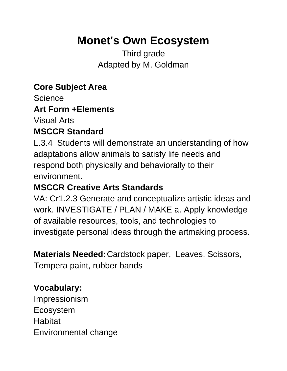# **Monet's Own Ecosystem**

Third grade Adapted by M. Goldman

**Core Subject Area**

Science

#### **Art Form +Elements**

Visual Arts

#### **MSCCR Standard**

L.3.4 Students will demonstrate an understanding of how adaptations allow animals to satisfy life needs and respond both physically and behaviorally to their environment.

## **MSCCR Creative Arts Standards**

VA: Cr1.2.3 Generate and conceptualize artistic ideas and work. INVESTIGATE / PLAN / MAKE a. Apply knowledge of available resources, tools, and technologies to investigate personal ideas through the artmaking process.

**Materials Needed:**Cardstock paper, Leaves, Scissors,

[Tempera paint,](http://www.amazon.com/gp/product/B00004UBH2?ie=UTF8&camp=1789&creativeASIN=B00004UBH2&linkCode=xm2&tag=minmonandmom-20) rubber bands

### **Vocabulary:**

Impressionism Ecosystem **Habitat** Environmental change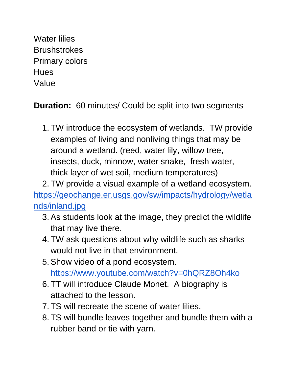Water lilies **Brushstrokes** Primary colors **Hues** Value

**Duration:** 60 minutes/ Could be split into two segments

1. TW introduce the ecosystem of wetlands. TW provide examples of living and nonliving things that may be around a wetland. (reed, water lily, willow tree, insects, duck, minnow, water snake, fresh water, thick layer of wet soil, medium temperatures)

2. TW provide a visual example of a wetland ecosystem. [https://geochange.er.usgs.gov/sw/impacts/hydrology/wetla](https://geochange.er.usgs.gov/sw/impacts/hydrology/wetlands/inland.jpg) [nds/inland.jpg](https://geochange.er.usgs.gov/sw/impacts/hydrology/wetlands/inland.jpg)

- 3.As students look at the image, they predict the wildlife that may live there.
- 4. TW ask questions about why wildlife such as sharks would not live in that environment.
- 5.Show video of a pond ecosystem. <https://www.youtube.com/watch?v=0hQRZ8Oh4ko>
- 6. TT will introduce Claude Monet. A biography is attached to the lesson.
- 7. TS will recreate the scene of water lilies.
- 8. TS will bundle leaves together and bundle them with a rubber band or tie with yarn.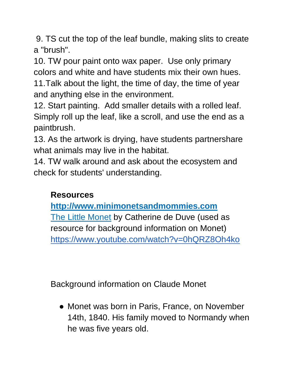9. TS cut the top of the leaf bundle, making slits to create a "brush".

10. TW pour paint onto wax paper. Use only primary colors and white and have students mix their own hues. 11.Talk about the light, the time of day, the time of year and anything else in the environment.

12. Start painting. Add smaller details with a rolled leaf. Simply roll up the leaf, like a scroll, and use the end as a paintbrush.

13. As the artwork is drying, have students partnershare what animals may live in the habitat.

14. TW walk around and ask about the ecosystem and check for students' understanding.

## **Resources**

**[http://www.minimonetsandmommies.com](http://www.minimonetsandmommies.com/search/label/famous%20artists)** [The Little Monet](https://books.google.com/books/about/Little_Monet.html?id=BYCZkwEACAAJ&source=kp_cover) by Catherine de Duve (used as resource for background information on Monet) <https://www.youtube.com/watch?v=0hQRZ8Oh4ko>

Background information on Claude Monet

• Monet was born in Paris, France, on November 14th, 1840. His family moved to Normandy when he was five years old.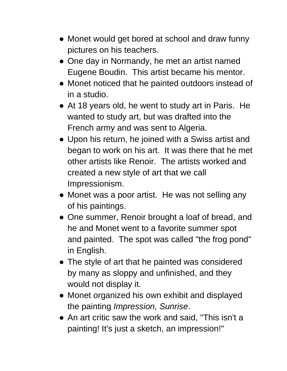- Monet would get bored at school and draw funny pictures on his teachers.
- One day in Normandy, he met an artist named Eugene Boudin. This artist became his mentor.
- Monet noticed that he painted outdoors instead of in a studio.
- At 18 years old, he went to study art in Paris. He wanted to study art, but was drafted into the French army and was sent to Algeria.
- Upon his return, he joined with a Swiss artist and began to work on his art. It was there that he met other artists like Renoir. The artists worked and created a new style of art that we call Impressionism.
- Monet was a poor artist. He was not selling any of his paintings.
- One summer, Renoir brought a loaf of bread, and he and Monet went to a favorite summer spot and painted. The spot was called "the frog pond" in English.
- The style of art that he painted was considered by many as sloppy and unfinished, and they would not display it.
- Monet organized his own exhibit and displayed the painting *Impression, Sunrise*.
- An art critic saw the work and said, "This isn't a painting! It's just a sketch, an impression!"